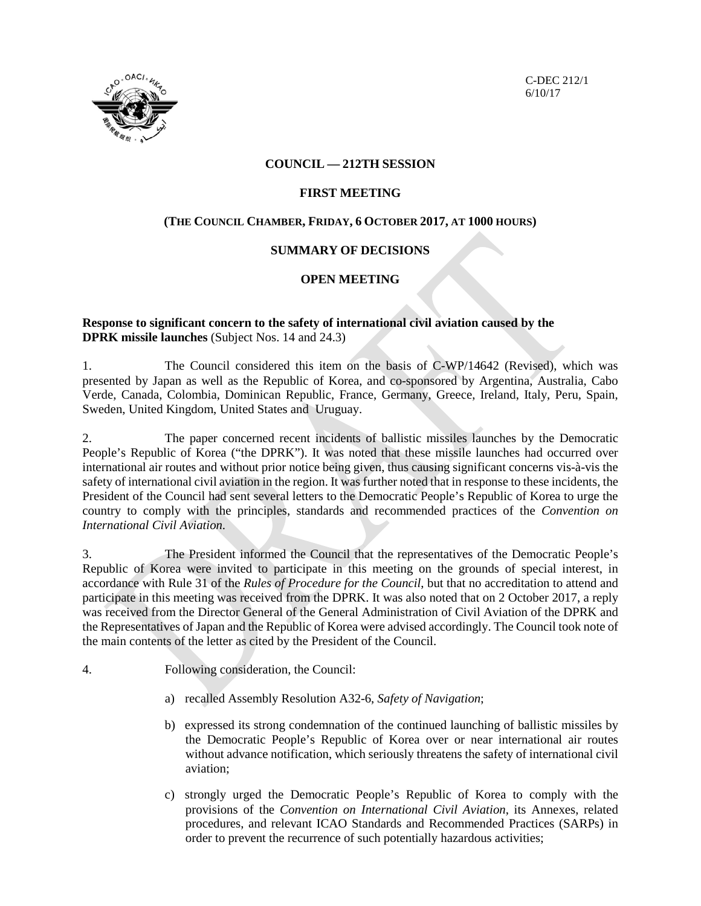

C-DEC 212/1 6/10/17

# **COUNCIL — 212TH SESSION**

## **FIRST MEETING**

### **(THE COUNCIL CHAMBER, FRIDAY, 6 OCTOBER 2017, AT 1000 HOURS)**

### **SUMMARY OF DECISIONS**

### **OPEN MEETING**

#### **Response to significant concern to the safety of international civil aviation caused by the DPRK missile launches** (Subject Nos. 14 and 24.3)

1. The Council considered this item on the basis of C-WP/14642 (Revised), which was presented by Japan as well as the Republic of Korea, and co-sponsored by Argentina, Australia, Cabo Verde, Canada, Colombia, Dominican Republic, France, Germany, Greece, Ireland, Italy, Peru, Spain, Sweden, United Kingdom, United States and Uruguay.

2. The paper concerned recent incidents of ballistic missiles launches by the Democratic People's Republic of Korea ("the DPRK"). It was noted that these missile launches had occurred over international air routes and without prior notice being given, thus causing significant concerns vis-à-vis the safety of international civil aviation in the region. It was further noted that in response to these incidents, the President of the Council had sent several letters to the Democratic People's Republic of Korea to urge the country to comply with the principles, standards and recommended practices of the *Convention on International Civil Aviation*.

3. The President informed the Council that the representatives of the Democratic People's Republic of Korea were invited to participate in this meeting on the grounds of special interest, in accordance with Rule 31 of the *Rules of Procedure for the Council*, but that no accreditation to attend and participate in this meeting was received from the DPRK. It was also noted that on 2 October 2017, a reply was received from the Director General of the General Administration of Civil Aviation of the DPRK and the Representatives of Japan and the Republic of Korea were advised accordingly. The Council took note of the main contents of the letter as cited by the President of the Council.

- 4. Following consideration, the Council:
	- a) recalled Assembly Resolution A32-6, *Safety of Navigation*;
	- b) expressed its strong condemnation of the continued launching of ballistic missiles by the Democratic People's Republic of Korea over or near international air routes without advance notification, which seriously threatens the safety of international civil aviation;
	- c) strongly urged the Democratic People's Republic of Korea to comply with the provisions of the *Convention on International Civil Aviation*, its Annexes, related procedures, and relevant ICAO Standards and Recommended Practices (SARPs) in order to prevent the recurrence of such potentially hazardous activities;